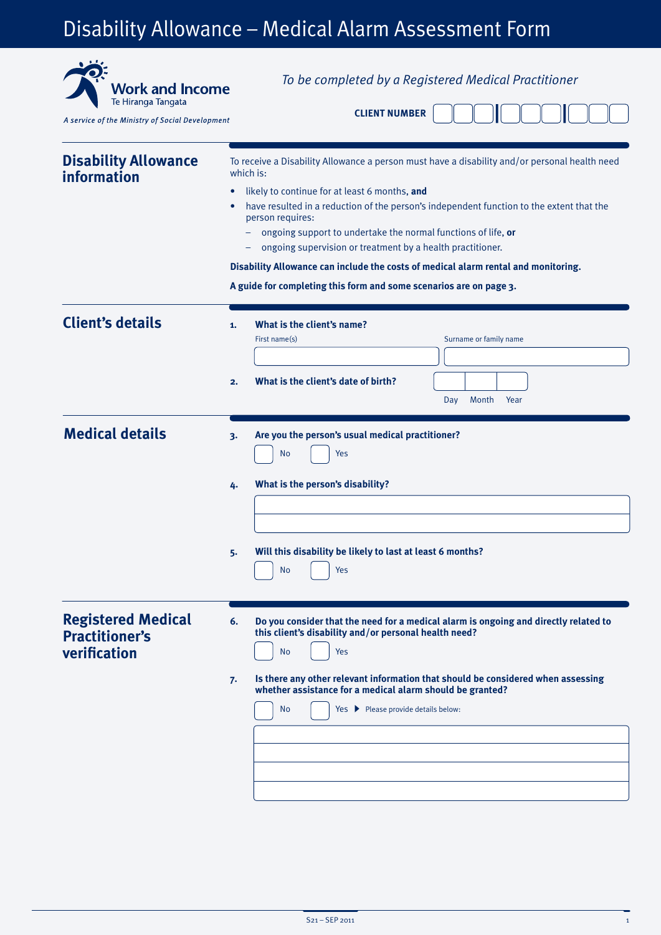# Disability Allowance – Medical Alarm Assessment Form

| <b>Work and Income</b><br>Te Hiranga Tangata<br>A service of the Ministry of Social Development | To be completed by a Registered Medical Practitioner<br><b>CLIENT NUMBER</b>                                                                                                                                                                                                                                                                                                                                                                                                                                                                                                        |
|-------------------------------------------------------------------------------------------------|-------------------------------------------------------------------------------------------------------------------------------------------------------------------------------------------------------------------------------------------------------------------------------------------------------------------------------------------------------------------------------------------------------------------------------------------------------------------------------------------------------------------------------------------------------------------------------------|
| <b>Disability Allowance</b><br>information                                                      | To receive a Disability Allowance a person must have a disability and/or personal health need<br>which is:<br>likely to continue for at least 6 months, and<br>$\bullet$<br>have resulted in a reduction of the person's independent function to the extent that the<br>person requires:<br>ongoing support to undertake the normal functions of life, or<br>ongoing supervision or treatment by a health practitioner.<br>Disability Allowance can include the costs of medical alarm rental and monitoring.<br>A guide for completing this form and some scenarios are on page 3. |
| <b>Client's details</b>                                                                         | What is the client's name?<br>1.<br>First name(s)<br>Surname or family name<br>What is the client's date of birth?<br>2.<br>Month<br>Year<br>Day                                                                                                                                                                                                                                                                                                                                                                                                                                    |
| <b>Medical details</b>                                                                          | Are you the person's usual medical practitioner?<br>3.<br>No<br>Yes<br>What is the person's disability?<br>4.<br>Will this disability be likely to last at least 6 months?<br>・<br><b>No</b><br>Yes                                                                                                                                                                                                                                                                                                                                                                                 |
| <b>Registered Medical</b><br><b>Practitioner's</b><br>verification                              | 6.<br>Do you consider that the need for a medical alarm is ongoing and directly related to<br>this client's disability and/or personal health need?<br>Yes<br><b>No</b><br>Is there any other relevant information that should be considered when assessing<br>7.<br>whether assistance for a medical alarm should be granted?<br>Yes > Please provide details below:<br><b>No</b>                                                                                                                                                                                                  |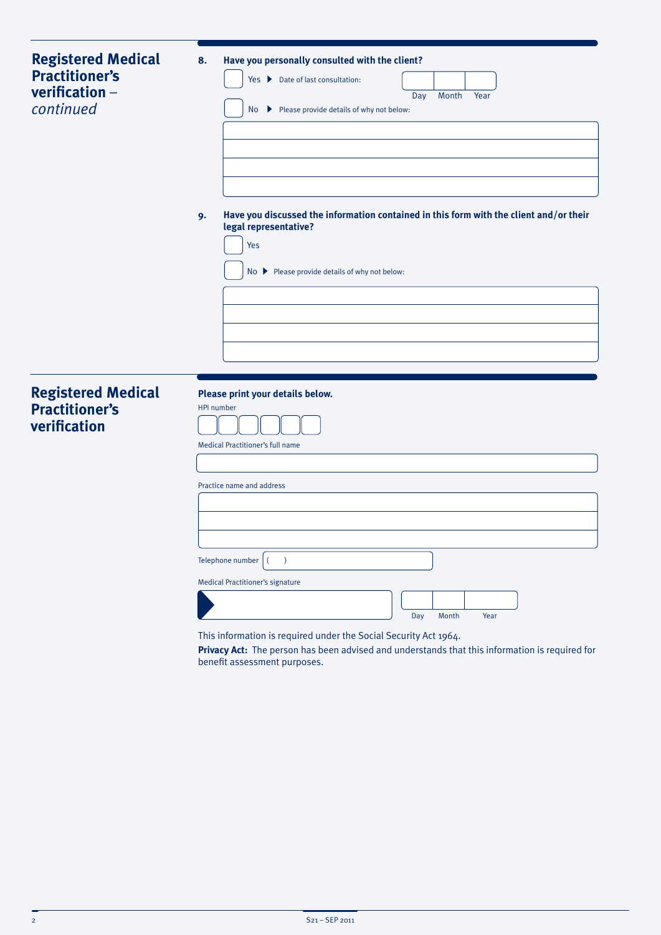| <b>Registered Medical</b><br><b>Practitioner's</b><br>verification -<br>continued | 8.<br>9.          | Have you personally consulted with the client?<br>Yes ▶ Date of last consultation:<br>Month<br>Day<br>Year<br>No > Please provide details of why not below:<br>Have you discussed the information contained in this form with the client and/or their<br>legal representative?<br>Yes<br>No > Please provide details of why not below: |
|-----------------------------------------------------------------------------------|-------------------|----------------------------------------------------------------------------------------------------------------------------------------------------------------------------------------------------------------------------------------------------------------------------------------------------------------------------------------|
| <b>Registered Medical</b><br><b>Practitioner's</b><br>verification                | <b>HPI</b> number | Please print your details below.<br>Medical Practitioner's full name<br>Practice name and address<br>Telephone number<br>$\big)$<br>$\left($<br><b>Medical Practitioner's signature</b><br>Year<br>Day<br>Month<br>This information is required under the Social Security Act 1964.                                                    |

**Privacy Act:** The person has been advised and understands that this information is required for benefit assessment purposes.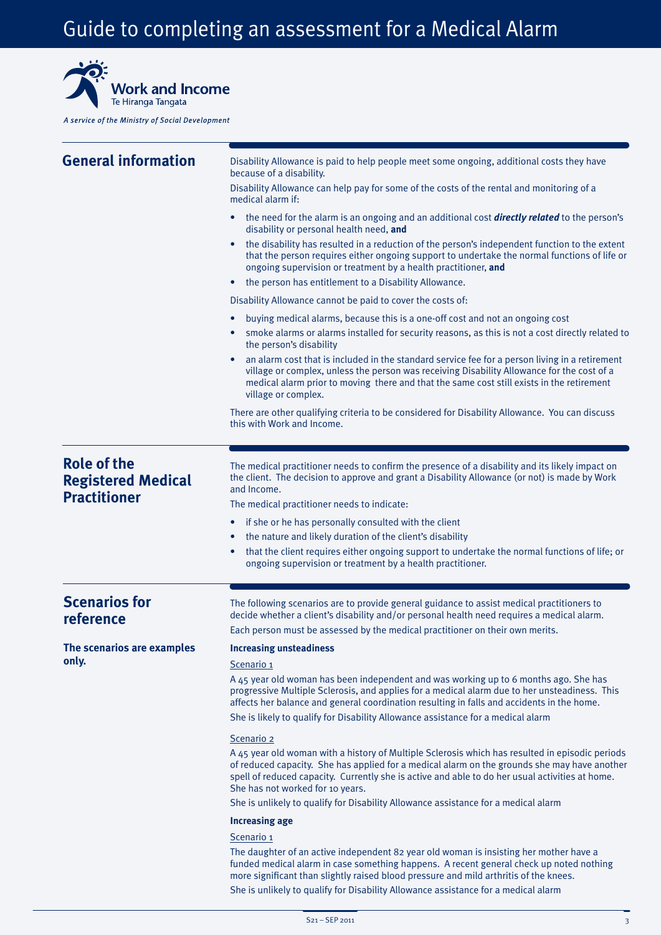## Guide to completing an assessment for a Medical Alarm



A service of the Ministry of Social Development

| <b>General information</b>                                             | Disability Allowance is paid to help people meet some ongoing, additional costs they have<br>because of a disability.                                                                                                                                                                                                                       |
|------------------------------------------------------------------------|---------------------------------------------------------------------------------------------------------------------------------------------------------------------------------------------------------------------------------------------------------------------------------------------------------------------------------------------|
|                                                                        | Disability Allowance can help pay for some of the costs of the rental and monitoring of a<br>medical alarm if:                                                                                                                                                                                                                              |
|                                                                        | the need for the alarm is an ongoing and an additional cost <b>directly related</b> to the person's<br>disability or personal health need, and                                                                                                                                                                                              |
|                                                                        | the disability has resulted in a reduction of the person's independent function to the extent<br>$\bullet$<br>that the person requires either ongoing support to undertake the normal functions of life or<br>ongoing supervision or treatment by a health practitioner, and                                                                |
|                                                                        | the person has entitlement to a Disability Allowance.                                                                                                                                                                                                                                                                                       |
|                                                                        | Disability Allowance cannot be paid to cover the costs of:                                                                                                                                                                                                                                                                                  |
|                                                                        | buying medical alarms, because this is a one-off cost and not an ongoing cost<br>smoke alarms or alarms installed for security reasons, as this is not a cost directly related to                                                                                                                                                           |
|                                                                        | the person's disability<br>an alarm cost that is included in the standard service fee for a person living in a retirement<br>village or complex, unless the person was receiving Disability Allowance for the cost of a<br>medical alarm prior to moving there and that the same cost still exists in the retirement<br>village or complex. |
|                                                                        | There are other qualifying criteria to be considered for Disability Allowance. You can discuss<br>this with Work and Income.                                                                                                                                                                                                                |
|                                                                        |                                                                                                                                                                                                                                                                                                                                             |
| <b>Role of the</b><br><b>Registered Medical</b><br><b>Practitioner</b> | The medical practitioner needs to confirm the presence of a disability and its likely impact on<br>the client. The decision to approve and grant a Disability Allowance (or not) is made by Work<br>and Income.                                                                                                                             |
|                                                                        | The medical practitioner needs to indicate:                                                                                                                                                                                                                                                                                                 |
|                                                                        | if she or he has personally consulted with the client<br>٠<br>the nature and likely duration of the client's disability<br>$\bullet$                                                                                                                                                                                                        |
|                                                                        | that the client requires either ongoing support to undertake the normal functions of life; or<br>٠<br>ongoing supervision or treatment by a health practitioner.                                                                                                                                                                            |
|                                                                        |                                                                                                                                                                                                                                                                                                                                             |
| <b>Scenarios for</b><br>reference                                      | The following scenarios are to provide general guidance to assist medical practitioners to<br>decide whether a client's disability and/or personal health need requires a medical alarm.<br>Each person must be assessed by the medical practitioner on their own merits.                                                                   |
|                                                                        |                                                                                                                                                                                                                                                                                                                                             |
| The scenarios are examples<br>only.                                    | <b>Increasing unsteadiness</b><br>Scenario 1                                                                                                                                                                                                                                                                                                |
|                                                                        | A 45 year old woman has been independent and was working up to 6 months ago. She has<br>progressive Multiple Sclerosis, and applies for a medical alarm due to her unsteadiness. This<br>affects her balance and general coordination resulting in falls and accidents in the home.                                                         |
|                                                                        | She is likely to qualify for Disability Allowance assistance for a medical alarm                                                                                                                                                                                                                                                            |
|                                                                        | Scenario 2                                                                                                                                                                                                                                                                                                                                  |
|                                                                        | A 45 year old woman with a history of Multiple Sclerosis which has resulted in episodic periods<br>of reduced capacity. She has applied for a medical alarm on the grounds she may have another<br>spell of reduced capacity. Currently she is active and able to do her usual activities at home.<br>She has not worked for 10 years.      |
|                                                                        | She is unlikely to qualify for Disability Allowance assistance for a medical alarm                                                                                                                                                                                                                                                          |
|                                                                        | <b>Increasing age</b>                                                                                                                                                                                                                                                                                                                       |
|                                                                        | Scenario 1                                                                                                                                                                                                                                                                                                                                  |
|                                                                        | The daughter of an active independent 82 year old woman is insisting her mother have a<br>funded medical alarm in case something happens. A recent general check up noted nothing<br>more significant than slightly raised blood pressure and mild arthritis of the knees.                                                                  |
|                                                                        | She is unlikely to qualify for Disability Allowance assistance for a medical alarm                                                                                                                                                                                                                                                          |